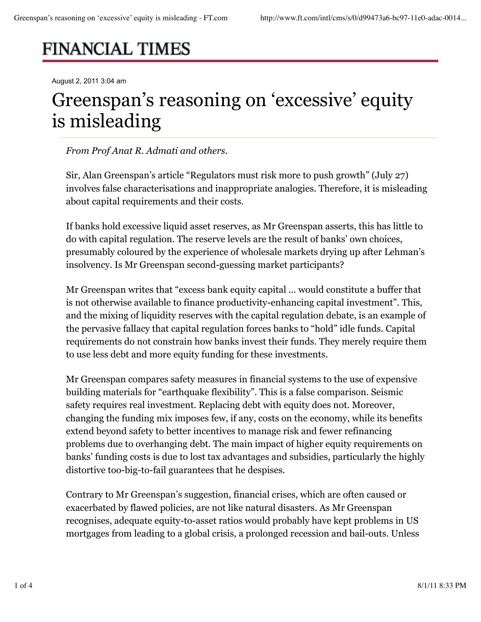# **FINANCIAL TIMES**

August 2, 2011 3:04 am

# Greenspan's reasoning on 'excessive' equity is misleading

### *From Prof Anat R. Admati and others.*

Sir, Alan Greenspan's article "Regulators must risk more to push growth" (July 27) involves false characterisations and inappropriate analogies. Therefore, it is misleading about capital requirements and their costs.

If banks hold excessive liquid asset reserves, as Mr Greenspan asserts, this has little to do with capital regulation. The reserve levels are the result of banks' own choices, presumably coloured by the experience of wholesale markets drying up after Lehman's insolvency. Is Mr Greenspan second-guessing market participants?

Mr Greenspan writes that "excess bank equity capital ... would constitute a buffer that is not otherwise available to finance productivity-enhancing capital investment". This, and the mixing of liquidity reserves with the capital regulation debate, is an example of the pervasive fallacy that capital regulation forces banks to "hold" idle funds. Capital requirements do not constrain how banks invest their funds. They merely require them to use less debt and more equity funding for these investments.

Mr Greenspan compares safety measures in financial systems to the use of expensive building materials for "earthquake flexibility". This is a false comparison. Seismic safety requires real investment. Replacing debt with equity does not. Moreover, changing the funding mix imposes few, if any, costs on the economy, while its benefits extend beyond safety to better incentives to manage risk and fewer refinancing problems due to overhanging debt. The main impact of higher equity requirements on banks' funding costs is due to lost tax advantages and subsidies, particularly the highly distortive too-big-to-fail guarantees that he despises.

Contrary to Mr Greenspan's suggestion, financial crises, which are often caused or exacerbated by flawed policies, are not like natural disasters. As Mr Greenspan recognises, adequate equity-to-asset ratios would probably have kept problems in US mortgages from leading to a global crisis, a prolonged recession and bail-outs. Unless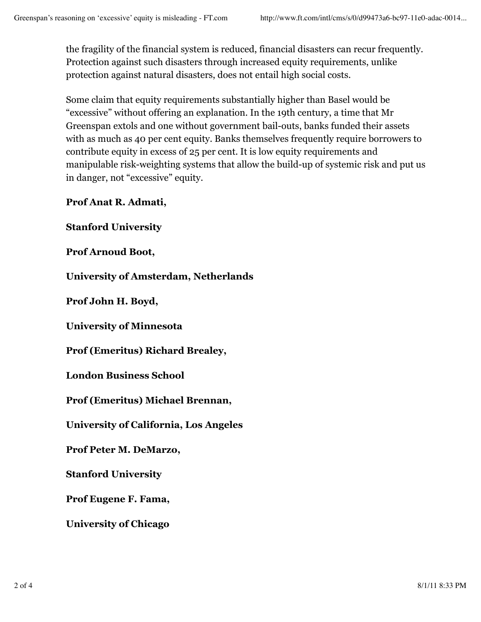the fragility of the financial system is reduced, financial disasters can recur frequently. Protection against such disasters through increased equity requirements, unlike protection against natural disasters, does not entail high social costs.

Some claim that equity requirements substantially higher than Basel would be "excessive" without offering an explanation. In the 19th century, a time that Mr Greenspan extols and one without government bail-outs, banks funded their assets with as much as 40 per cent equity. Banks themselves frequently require borrowers to contribute equity in excess of 25 per cent. It is low equity requirements and manipulable risk-weighting systems that allow the build-up of systemic risk and put us in danger, not "excessive" equity.

**Prof Anat R. Admati,**

**Stanford University**

**Prof Arnoud Boot,**

**University of Amsterdam, Netherlands**

**Prof John H. Boyd,**

**University of Minnesota**

**Prof (Emeritus) Richard Brealey,**

**London Business School**

**Prof (Emeritus) Michael Brennan,**

**University of California, Los Angeles**

**Prof Peter M. DeMarzo,**

**Stanford University**

**Prof Eugene F. Fama,**

**University of Chicago**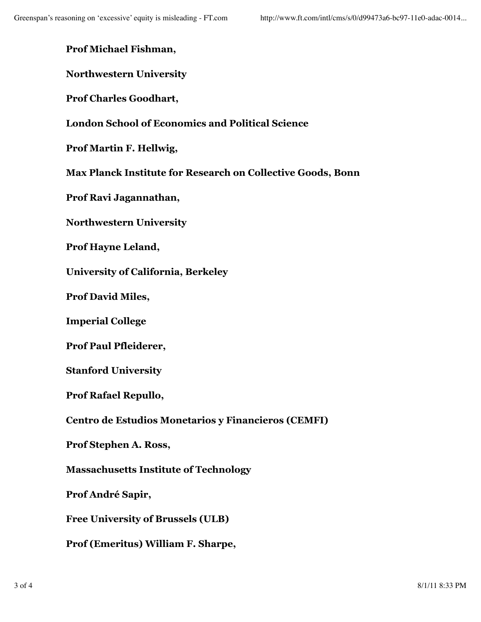# **Prof Michael Fishman,**

# **Northwestern University**

**Prof Charles Goodhart,**

# **London School of Economics and Political Science**

**Prof Martin F. Hellwig,**

**Max Planck Institute for Research on Collective Goods, Bonn**

**Prof Ravi Jagannathan,**

**Northwestern University**

**Prof Hayne Leland,**

**University of California, Berkeley**

**Prof David Miles,**

**Imperial College**

**Prof Paul Pfleiderer,**

**Stanford University**

**Prof Rafael Repullo,**

**Centro de Estudios Monetarios y Financieros (CEMFI)**

**Prof Stephen A. Ross,**

**Massachusetts Institute of Technology**

**Prof André Sapir,**

**Free University of Brussels (ULB)**

**Prof (Emeritus) William F. Sharpe,**